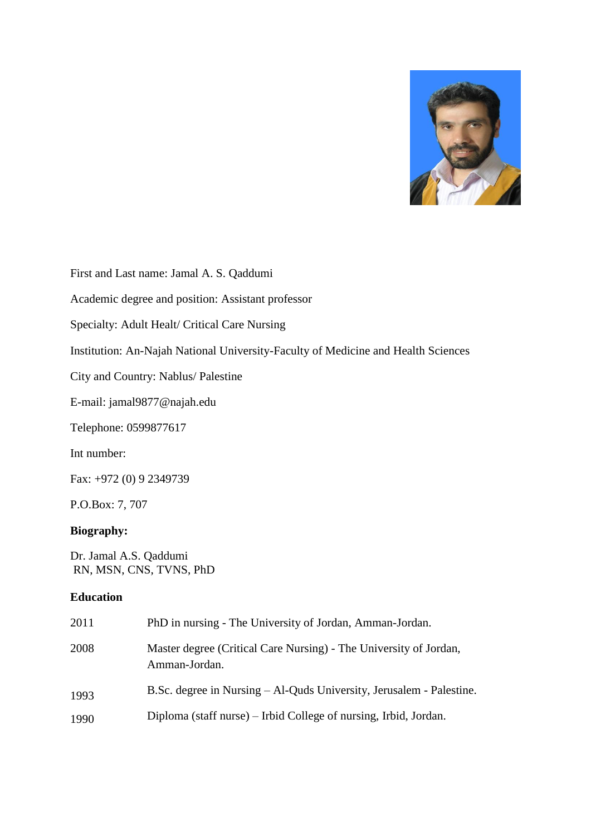

First and Last name: Jamal A. S. Qaddumi

Academic degree and position: Assistant professor

Specialty: Adult Healt/ Critical Care Nursing

Institution: An-Najah National University-Faculty of Medicine and Health Sciences

City and Country: Nablus/ Palestine

E-mail: jamal9877@najah.edu

Telephone: 0599877617

Int number:

Fax: +972 (0) 9 2349739

P.O.Box: 7, 707

#### **Biography:**

Dr. Jamal A.S. Qaddumi RN, MSN, CNS, TVNS, PhD

#### **Education**

| 2011 | PhD in nursing - The University of Jordan, Amman-Jordan.                           |
|------|------------------------------------------------------------------------------------|
| 2008 | Master degree (Critical Care Nursing) - The University of Jordan,<br>Amman-Jordan. |
| 1993 | B.Sc. degree in Nursing – Al-Quds University, Jerusalem - Palestine.               |
| 1990 | Diploma (staff nurse) – Irbid College of nursing, Irbid, Jordan.                   |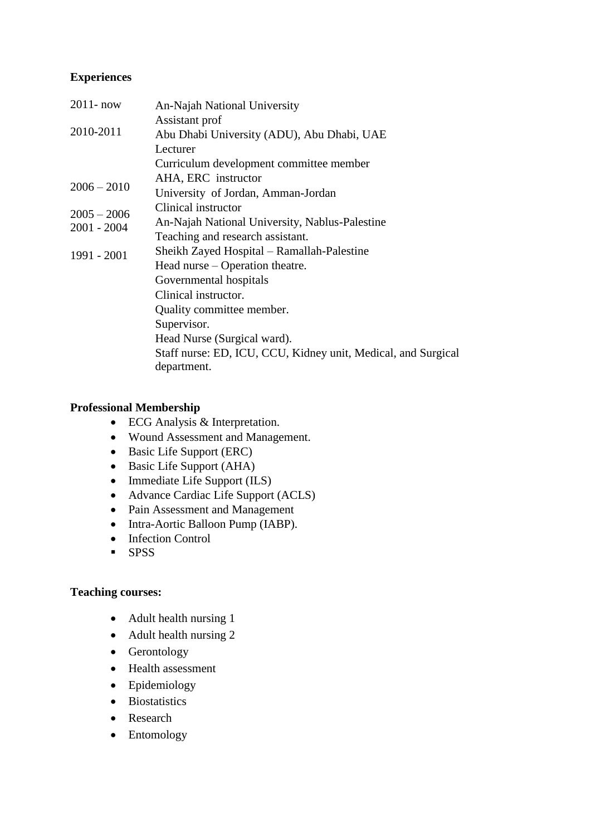# **Experiences**

| $2011 - now$                   | An-Najah National University                                  |
|--------------------------------|---------------------------------------------------------------|
| 2010-2011                      | Assistant prof                                                |
|                                | Abu Dhabi University (ADU), Abu Dhabi, UAE                    |
|                                | Lecturer                                                      |
|                                | Curriculum development committee member                       |
| $2006 - 2010$                  | AHA, ERC instructor                                           |
|                                | University of Jordan, Amman-Jordan                            |
| $2005 - 2006$<br>$2001 - 2004$ | Clinical instructor                                           |
|                                | An-Najah National University, Nablus-Palestine                |
|                                | Teaching and research assistant.                              |
| 1991 - 2001                    | Sheikh Zayed Hospital – Ramallah-Palestine                    |
|                                | Head nurse – Operation theatre.                               |
|                                | Governmental hospitals                                        |
|                                | Clinical instructor.                                          |
|                                | Quality committee member.                                     |
|                                | Supervisor.                                                   |
|                                | Head Nurse (Surgical ward).                                   |
|                                | Staff nurse: ED, ICU, CCU, Kidney unit, Medical, and Surgical |
|                                | department.                                                   |

## **Professional Membership**

- ECG Analysis & Interpretation.
- Wound Assessment and Management.
- Basic Life Support (ERC)
- Basic Life Support (AHA)
- $\bullet$  Immediate Life Support (ILS)
- Advance Cardiac Life Support (ACLS)
- Pain Assessment and Management
- Intra-Aortic Balloon Pump (IABP).
- Infection Control
- $-$  SPSS

# **Teaching courses:**

- Adult health nursing 1
- Adult health nursing 2
- Gerontology
- Health assessment
- Epidemiology
- Biostatistics
- Research
- Entomology